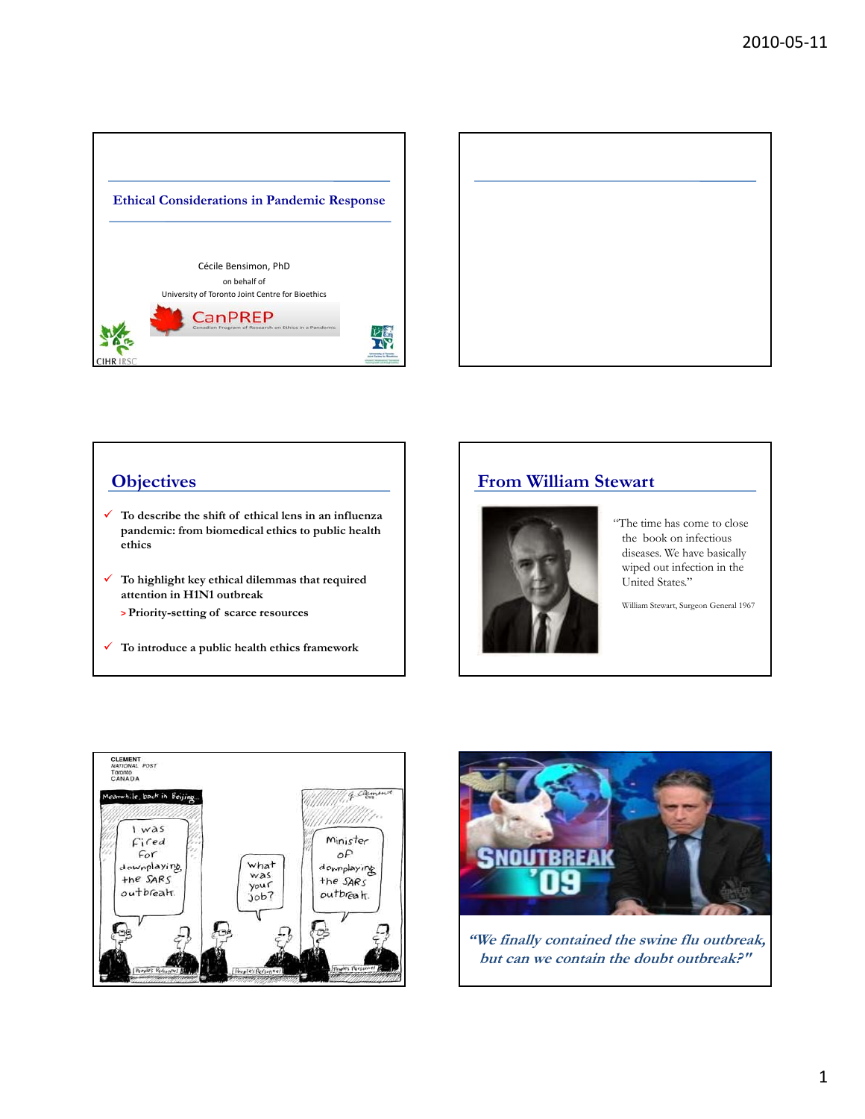



# **Objectives**

- **To describe the shift of ethical lens in an influenza pandemic: from biomedical ethics to public health ethics**
- **To highlight key ethical dilemmas that required attention in H1N1 outbreak** 
	- **> Priority-setting of scarce resources**
- **To introduce a public health ethics framework**

# **From William Stewart**



"The time has come to close the book on infectious diseases. We have basically wiped out infection in the United States."

William Stewart, Surgeon General 1967





**"We finally contained the swine flu outbreak, but can we contain the doubt outbreak?"**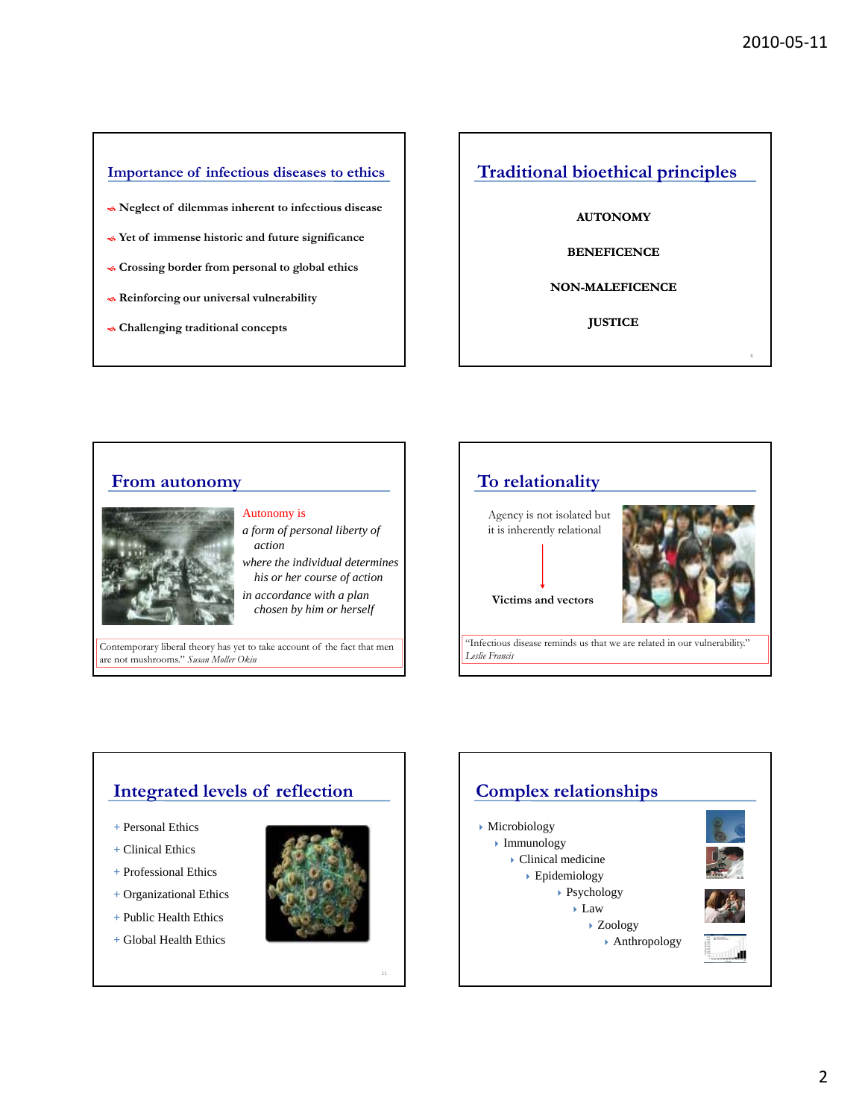8

### **Importance of infectious diseases to ethics**

- **Neglect of dilemmas inherent to infectious disease**
- **Yet of immense historic and future significance**
- **Crossing border from personal to global ethics**
- **Reinforcing our universal vulnerability**
- **Challenging traditional concepts**

## **Traditional bioethical principles**

### **AUTONOMY**

**BENEFICENCE**

### **NON-MALEFICENCE**

**JUSTICE**

# **From autonomy**



# Autonomy is

- *a form of personal liberty of action*
- *h h i di id l d i where the individual determines his or her course of action*
- *in accordance with a plan chosen by him or herself*

Contemporary liberal theory has yet to take account of the fact that men are not mushrooms." *Susan Moller Okin*



# **Integrated levels of reflection**

- *+* Personal Ethics
- *+* Clinical Ethics
- + Professional Ethics
- **+** Organizational Ethics
- **+** Public Health Ethics
- **+** Global Health Ethics



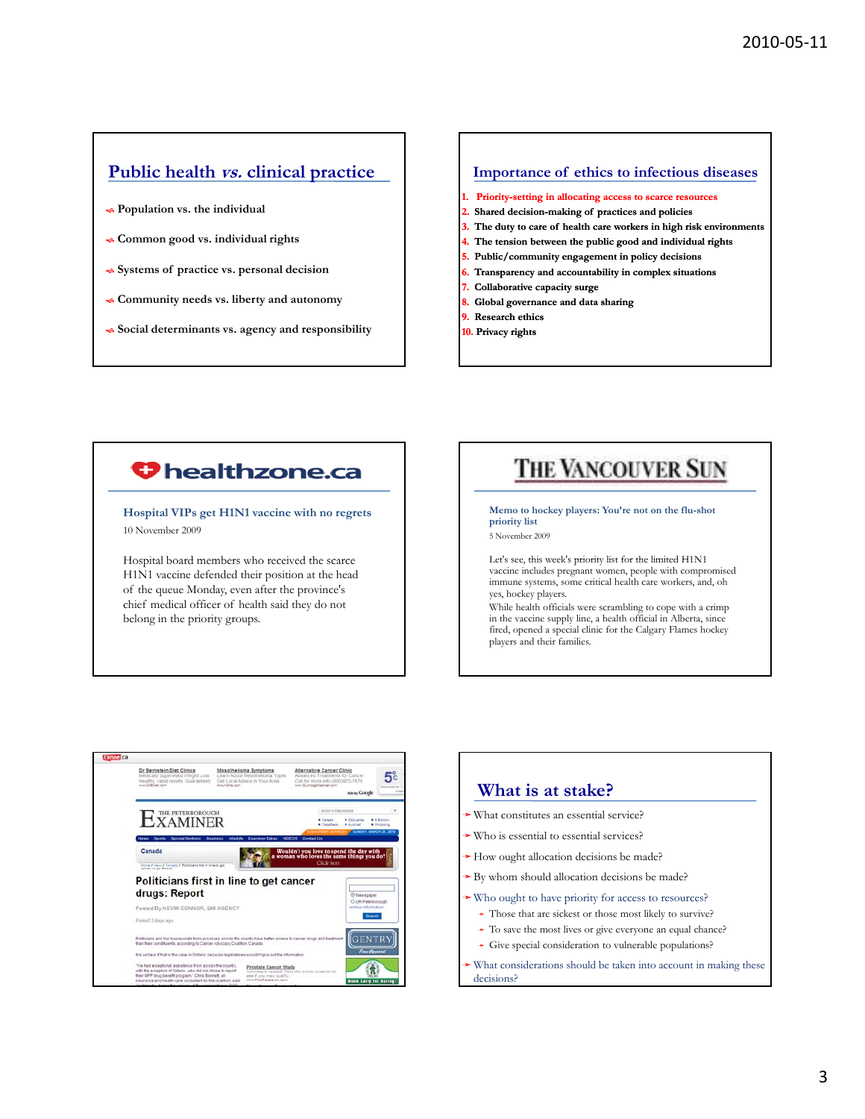# **Public health vs. clinical practice**

- **Population vs. the individual**
- **Common good vs. individual rights**
- **Systems of practice vs. personal decision**
- **Community needs vs. liberty and autonomy**
- **Social determinants vs. agency and responsibility**

### **Importance of ethics to infectious diseases**

- **1. Priority-setting in allocating access to scarce resources**
- **2. Shared decision-making of practices and policies**
- **3. The duty to care of health care workers in high risk environments**
- **4. The tension between the public good and individual rights**
- **5. Public/community engagement in policy decisions**
- **6. Transparency and accountability in complex situations**
- **7. Collaborative capacity surge**
- **8. Global governance and data sharing**
- **9. Research ethics**
- **10. Privacy rights**

# **U** healthzone.ca

**Hospital VIPs get H1N1 vaccine with no regrets** 10 November 2009

Hospital board members who received the scarce H1N1 vaccine defended their position at the head of the queue Monday, even after the province's chief medical officer of health said they do not belong in the priority groups.

# THE VANCOUVER SUN

**Memo to hockey players: You're not on the flu-shot priority list** 5 November 2009

Let's see, this week's priority list for the limited H1N1 vaccine includes pregnant women, people with compromised immune systems, some critical health care workers, and, oh yes, hockey players.

While health officials were scrambling to cope with a crimp in the vaccine supply line, a health official in Alberta, since fired, opened a special clinic for the Calgary Flames hockey players and their families.



| • What constitutes an essential service?                                                     |
|----------------------------------------------------------------------------------------------|
|                                                                                              |
| $\rightarrow$ Who is essential to essential services?                                        |
| How ought allocation decisions be made?                                                      |
| $\rightarrow$ By whom should allocation decisions be made?                                   |
| • Who ought to have priority for access to resources?                                        |
| $\rightarrow$ Those that are sickest or those most likely to survive?                        |
| $\rightarrow$ To save the most lives or give everyone an equal chance?                       |
| $\rightarrow$ Give special consideration to vulnerable populations?                          |
| $\rightarrow$ What considerations should be taken into account in making these<br>decisions? |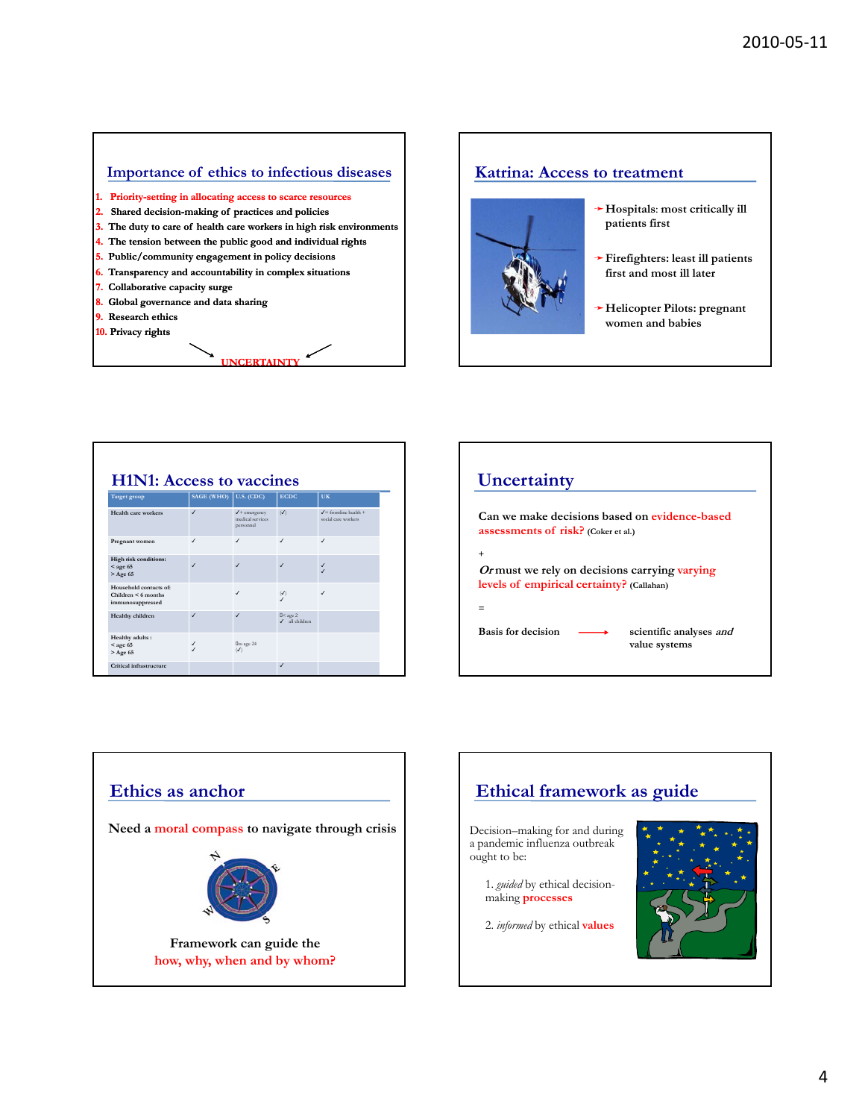### **Importance of ethics to infectious diseases**

- **1. Priority-setting in allocating access to scarce resources**
- **2. Shared decision-making of practices and policies**
- **3. The duty to care of health care workers in high risk environments**

**UNCERTAINTY** 

- **4. The tension between the public good and individual rights**
- **5. Public/community engagement in policy decisions**
- **6. Transparency and accountability in complex situations**
- **7. Collaborative capacity surge**
- **8. Global governance and data sharing**
- **9. Research ethics**
- **10. Privacy rights**

# **Katrina: Access to treatment**



- ➛**Hospitals**: **most critically ill patients first**
- ➛**Firefighters: least ill patients first and most ill later**
- ➛**Helicopter Pilots: pregnant women and babies**

| <b>H1N1: Access to vaccines</b>                                   |                               |                                                            |                                  |                                                       |  |  |
|-------------------------------------------------------------------|-------------------------------|------------------------------------------------------------|----------------------------------|-------------------------------------------------------|--|--|
| <b>Target group</b>                                               | SAGE (WHO) $\vert$ U.S. (CDC) |                                                            | <b>ECDC</b>                      | UK                                                    |  |  |
| Health care workers                                               | J                             | $\checkmark$ + emergency<br>medical services.<br>personnel | $(\sqrt{2})$                     | $\angle$ = frontline health +<br>social care workers. |  |  |
| Pregnant women                                                    | J                             | J                                                          | $\checkmark$                     | $\checkmark$                                          |  |  |
| High risk conditions:<br>$<$ age 65<br>$>$ Age 65                 | $\checkmark$                  | J                                                          | $\checkmark$                     | $\checkmark$<br>$\overline{\phantom{a}}$              |  |  |
| Household contacts of:<br>Children < 6 months<br>immunosuppressed |                               | J                                                          | $\left(\bigvee\right)$           | $\checkmark$                                          |  |  |
| Healthy children                                                  | $\checkmark$                  | J                                                          | $II <$ age 2<br>$J$ all children |                                                       |  |  |
| Healthy adults:<br>$<$ age 65<br>$>$ Age 65                       | ✓<br>$\checkmark$             | Ito age 24<br>$\mathcal{L}$                                |                                  |                                                       |  |  |
| Critical infrastructure                                           |                               |                                                            | $\overline{1}$                   |                                                       |  |  |





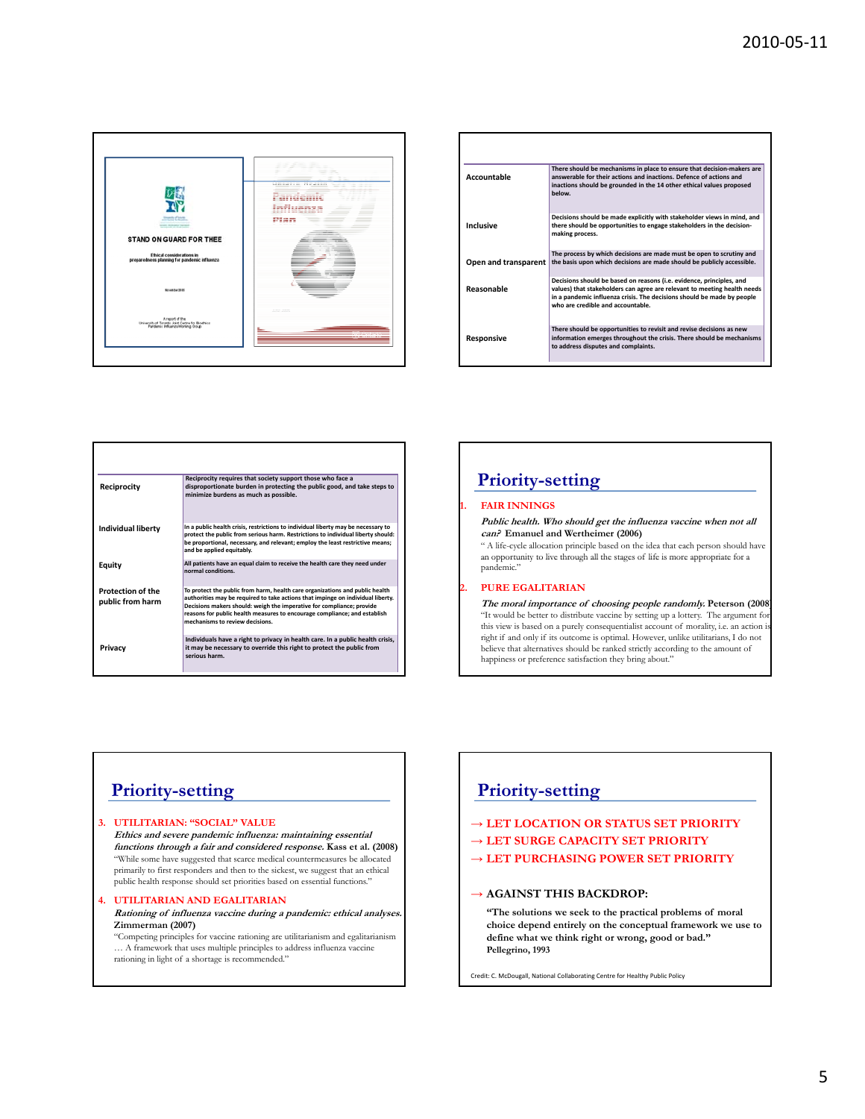

| Accountable          | There should be mechanisms in place to ensure that decision-makers are<br>answerable for their actions and inactions. Defence of actions and<br>inactions should be grounded in the 14 other ethical values proposed<br>helow                                   |
|----------------------|-----------------------------------------------------------------------------------------------------------------------------------------------------------------------------------------------------------------------------------------------------------------|
| Inclusive            | Decisions should be made explicitly with stakeholder views in mind, and<br>there should be opportunities to engage stakeholders in the decision-<br>making process.                                                                                             |
| Open and transparent | The process by which decisions are made must be open to scrutiny and<br>the basis upon which decisions are made should be publicly accessible.                                                                                                                  |
| Reasonable           | Decisions should be based on reasons (i.e. evidence, principles, and<br>values) that stakeholders can agree are relevant to meeting health needs<br>in a pandemic influenza crisis. The decisions should be made by people<br>who are credible and accountable. |
| Responsive           | There should be opportunities to revisit and revise decisions as new<br>information emerges throughout the crisis. There should be mechanisms<br>to address disputes and complaints.                                                                            |

| Reciprocity                                  | Reciprocity requires that society support those who face a<br>disproportionate burden in protecting the public good, and take steps to<br>minimize burdens as much as possible.                                                                                                                                                                          |  |  |
|----------------------------------------------|----------------------------------------------------------------------------------------------------------------------------------------------------------------------------------------------------------------------------------------------------------------------------------------------------------------------------------------------------------|--|--|
| <b>Individual liberty</b>                    | In a public health crisis, restrictions to individual liberty may be necessary to<br>protect the public from serious harm. Restrictions to individual liberty should:<br>be proportional, necessary, and relevant; employ the least restrictive means;<br>and be applied equitably.                                                                      |  |  |
| Equity                                       | All patients have an equal claim to receive the health care they need under<br>normal conditions.                                                                                                                                                                                                                                                        |  |  |
| <b>Protection of the</b><br>public from harm | To protect the public from harm, health care organizations and public health<br>authorities may be required to take actions that impinge on individual liberty.<br>Decisions makers should: weigh the imperative for compliance; provide<br>reasons for public health measures to encourage compliance: and establish<br>mechanisms to review decisions. |  |  |
| Privacy                                      | Individuals have a right to privacy in health care. In a public health crisis,<br>it may be necessary to override this right to protect the public from<br>serious harm                                                                                                                                                                                  |  |  |

# **Priority-setting**

### **1. FAIR INNINGS**

**Public health. Who should get the influenza vaccine when not all can? Emanuel and Wertheimer (2006)**

" A life-cycle allocation principle based on the idea that each person should have an opportunity to live through all the stages of life is more appropriate for a pandemic."

### **2. PURE EGALITARIAN**

**The moral importance of choosing people randomly. Peterson (2008)** "It would be better to distribute vaccine by setting up a lottery. The argument fo this view is based on a purely consequentialist account of morality, i.e. an action is right if and only if its outcome is optimal. However, unlike utilitarians, I do not believe that alternatives should be ranked strictly according to the amount of happiness or preference satisfaction they bring about."

## **Priority-setting**

#### **3. UTILITARIAN: "SOCIAL" VALUE Ethics and severe pandemic influenza: maintaining essential functions through a fair and considered response. Kass et al. (2008)** "While some have suggested that scarce medical countermeasures be allocated primarily to first responders and then to the sickest, we suggest that an ethical public health response should set priorities based on essential functions."

### **4. UTILITARIAN AND EGALITARIAN**

**Rationing of influenza vaccine during a pandemic: ethical analyses. Zimmerman (2007)**

"Competing principles for vaccine rationing are utilitarianism and egalitarianism  $\therefore$  A framework that uses multiple principles to address influenza vaccine rationing in light of a shortage is recommended."

# **Priority-setting**

## → **LET LOCATION OR STATUS SET PRIORITY**

- → **LET SURGE CAPACITY SET PRIORITY**
- → **LET PURCHASING POWER SET PRIORITY**

### → **AGAINST THIS BACKDROP:**

**"The solutions we seek to the practical problems of moral choice depend entirely on the conceptual framework we use to define what we think right or wrong, good or bad." Pellegrino, 1993**

Credit: C. McDougall, National Collaborating Centre for Healthy Public Policy